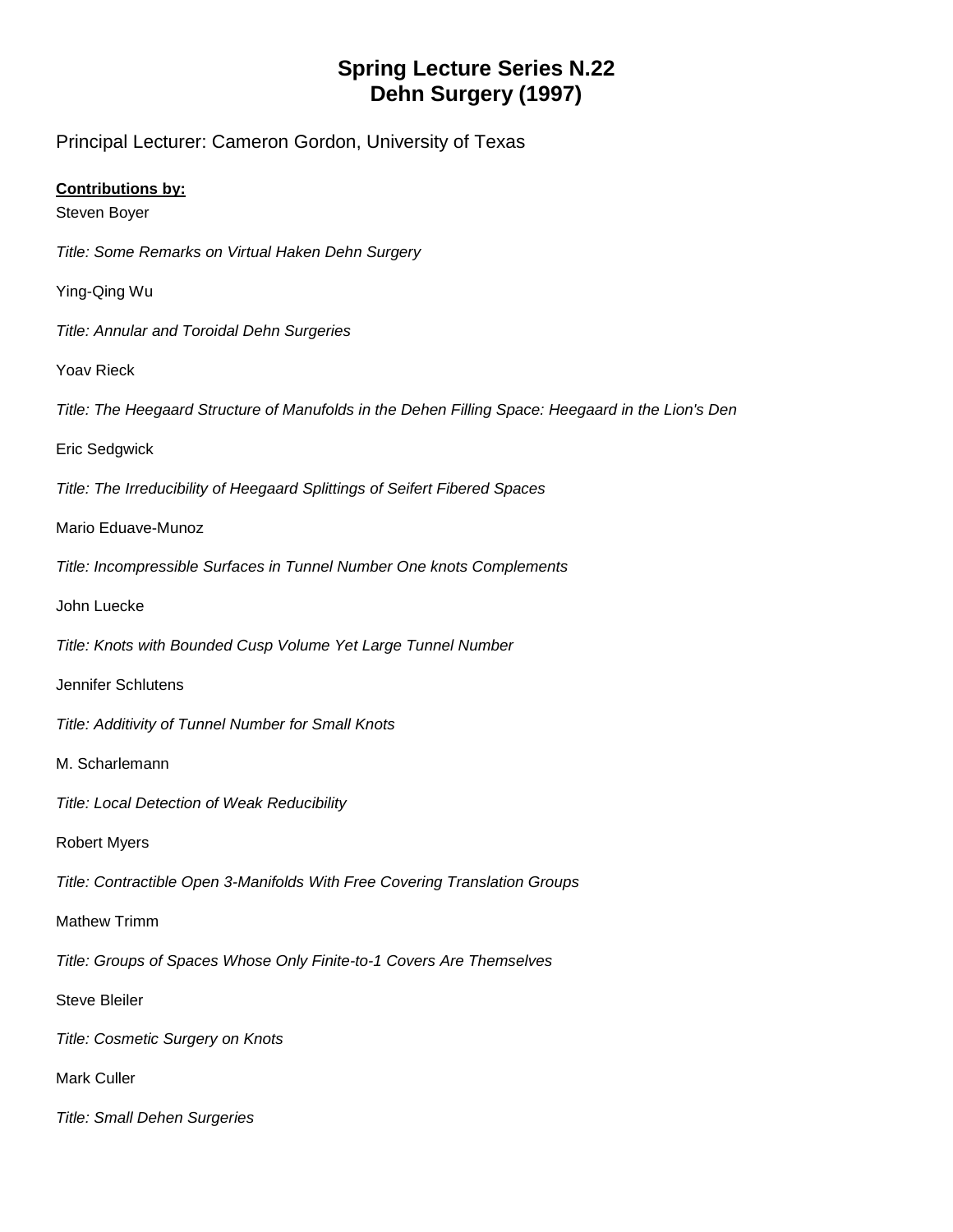## **Spring Lecture Series N.22 Dehn Surgery (1997)**

Principal Lecturer: Cameron Gordon, University of Texas

## **Contributions by:**

Steven Boyer

*Title: Some Remarks on Virtual Haken Dehn Surgery*

Ying-Qing Wu

*Title: Annular and Toroidal Dehn Surgeries*

Yoav Rieck

*Title: The Heegaard Structure of Manufolds in the Dehen Filling Space: Heegaard in the Lion's Den*

Eric Sedgwick

*Title: The Irreducibility of Heegaard Splittings of Seifert Fibered Spaces*

Mario Eduave-Munoz

*Title: Incompressible Surfaces in Tunnel Number One knots Complements*

John Luecke

*Title: Knots with Bounded Cusp Volume Yet Large Tunnel Number*

Jennifer Schlutens

*Title: Additivity of Tunnel Number for Small Knots*

M. Scharlemann

*Title: Local Detection of Weak Reducibility*

Robert Myers

*Title: Contractible Open 3-Manifolds With Free Covering Translation Groups*

Mathew Trimm

*Title: Groups of Spaces Whose Only Finite-to-1 Covers Are Themselves*

Steve Bleiler

*Title: Cosmetic Surgery on Knots*

Mark Culler

*Title: Small Dehen Surgeries*